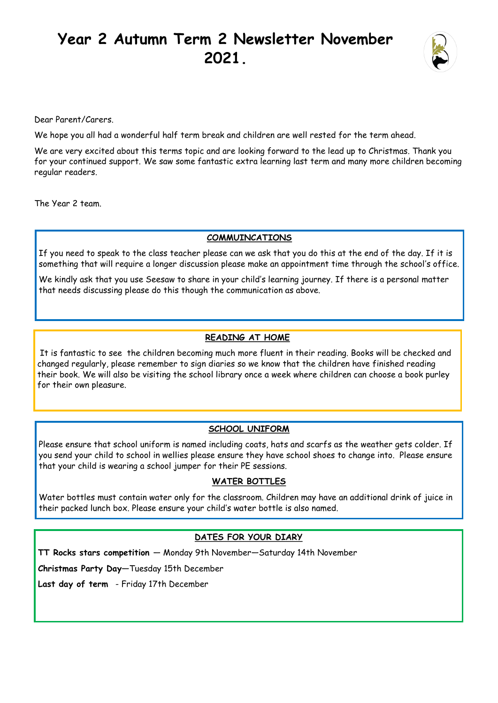# **Year 2 Autumn Term 2 Newsletter November 2021.**



Dear Parent/Carers.

We hope you all had a wonderful half term break and children are well rested for the term ahead.

We are very excited about this terms topic and are looking forward to the lead up to Christmas. Thank you for your continued support. We saw some fantastic extra learning last term and many more children becoming regular readers.

The Year 2 team.

#### **COMMUINCATIONS**

If you need to speak to the class teacher please can we ask that you do this at the end of the day. If it is something that will require a longer discussion please make an appointment time through the school's office.

We kindly ask that you use Seesaw to share in your child's learning journey. If there is a personal matter that needs discussing please do this though the communication as above.

### **READING AT HOME**

It is fantastic to see the children becoming much more fluent in their reading. Books will be checked and changed regularly, please remember to sign diaries so we know that the children have finished reading their book. We will also be visiting the school library once a week where children can choose a book purley for their own pleasure.

### **SCHOOL UNIFORM**

Please ensure that school uniform is named including coats, hats and scarfs as the weather gets colder. If you send your child to school in wellies please ensure they have school shoes to change into. Please ensure that your child is wearing a school jumper for their PE sessions.

### **WATER BOTTLES**

Water bottles must contain water only for the classroom. Children may have an additional drink of juice in their packed lunch box. Please ensure your child's water bottle is also named.

### **DATES FOR YOUR DIARY**

**TT Rocks stars competition** — Monday 9th November—Saturday 14th November

**Christmas Party Day—**Tuesday 15th December

**Last day of term** - Friday 17th December